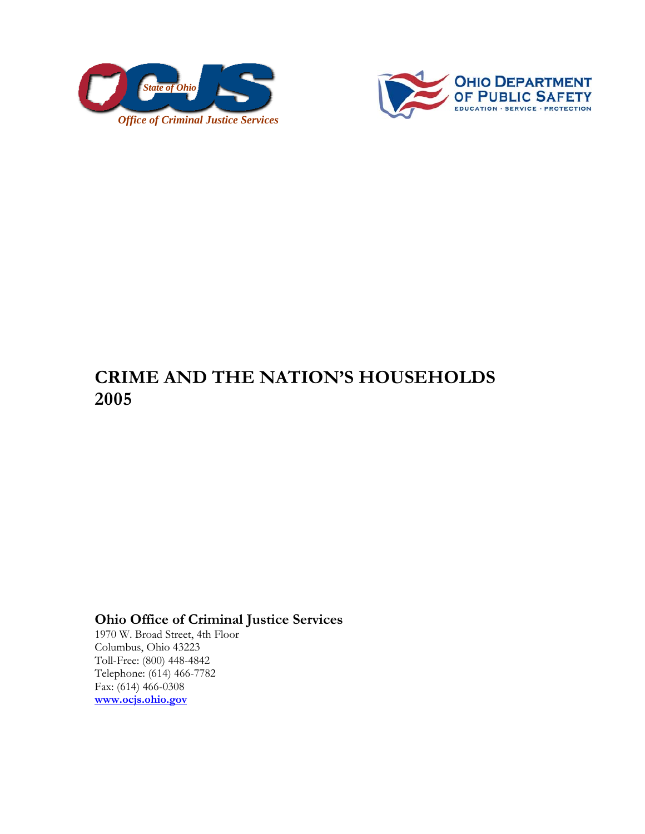



## **CRIME AND THE NATION'S HOUSEHOLDS 2005**

## **Ohio Office of Criminal Justice Services**

1970 W. Broad Street, 4th Floor Columbus, Ohio 43223 Toll-Free: (800) 448-4842 Telephone: (614) 466-7782 Fax: (614) 466-0308 **www.ocjs.ohio.gov**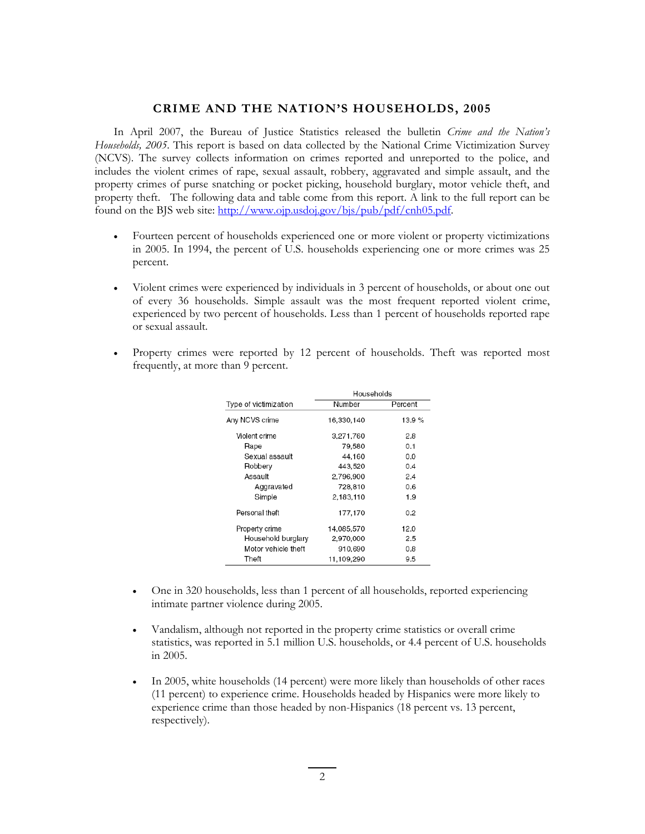## **CRIME AND THE NATION'S HOUSEHOLDS, 2005**

In April 2007, the Bureau of Justice Statistics released the bulletin *Crime and the Nation's Households, 2005*. This report is based on data collected by the National Crime Victimization Survey (NCVS). The survey collects information on crimes reported and unreported to the police, and includes the violent crimes of rape, sexual assault, robbery, aggravated and simple assault, and the property crimes of purse snatching or pocket picking, household burglary, motor vehicle theft, and property theft. The following data and table come from this report. A link to the full report can be found on the BJS web site: http://www.ojp.usdoj.gov/bjs/pub/pdf/cnh05.pdf.

- Fourteen percent of households experienced one or more violent or property victimizations in 2005. In 1994, the percent of U.S. households experiencing one or more crimes was 25 percent.
- Violent crimes were experienced by individuals in 3 percent of households, or about one out of every 36 households. Simple assault was the most frequent reported violent crime, experienced by two percent of households. Less than 1 percent of households reported rape or sexual assault.
- Property crimes were reported by 12 percent of households. Theft was reported most frequently, at more than 9 percent.

|                       | Households |         |
|-----------------------|------------|---------|
| Type of victimization | Number     | Percent |
| Any NCVS crime        | 16.330.140 | 13.9%   |
| Violent crime         | 3,271,760  | 2.8     |
| Rape                  | 79,580     | 0.1     |
| Sexual assault        | 44.160     | 0.0     |
| Robbery               | 443,520    | 0.4     |
| Assault               | 2.796,900  | 2.4     |
| Aggravated            | 728,810    | 0.6     |
| Simple                | 2.183.110  | 1.9     |
| Personal theft        | 177.170    | 0.2     |
| Property crime        | 14,085,570 | 12.0    |
| Household burglary    | 2,970,000  | 2.5     |
| Motor vehicle theft   | 910,690    | 0.8     |
| Theft                 | 11,109,290 | 9.5     |

- One in 320 households, less than 1 percent of all households, reported experiencing intimate partner violence during 2005.
- Vandalism, although not reported in the property crime statistics or overall crime statistics, was reported in 5.1 million U.S. households, or 4.4 percent of U.S. households in 2005.
- In 2005, white households (14 percent) were more likely than households of other races (11 percent) to experience crime. Households headed by Hispanics were more likely to experience crime than those headed by non-Hispanics (18 percent vs. 13 percent, respectively).